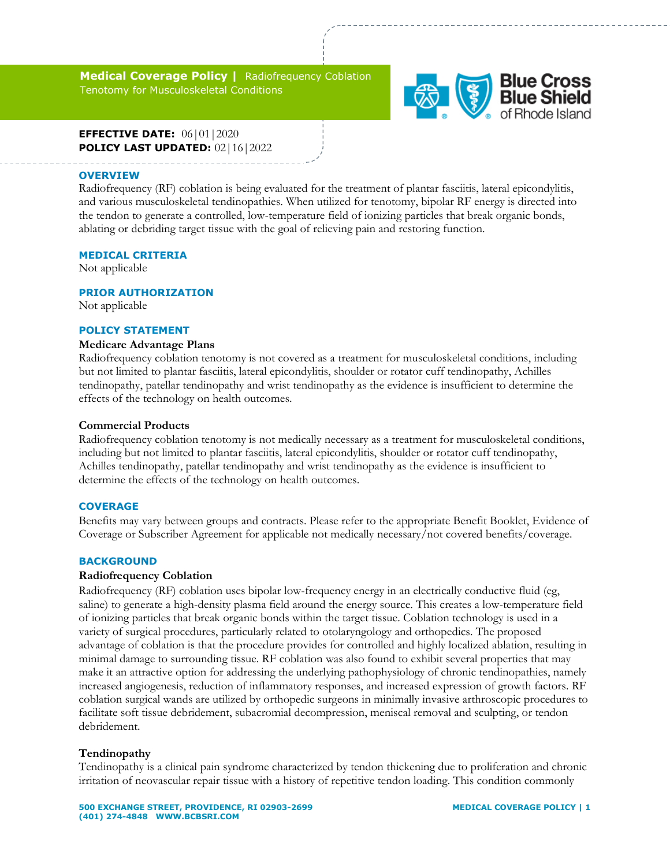**Medical Coverage Policy |** Radiofrequency Coblation Tenotomy for Musculoskeletal Conditions



**EFFECTIVE DATE:** 06|01|2020 **POLICY LAST UPDATED:** 02|16|2022

#### **OVERVIEW**

Radiofrequency (RF) coblation is being evaluated for the treatment of plantar fasciitis, lateral epicondylitis, and various musculoskeletal tendinopathies. When utilized for tenotomy, bipolar RF energy is directed into the tendon to generate a controlled, low-temperature field of ionizing particles that break organic bonds, ablating or debriding target tissue with the goal of relieving pain and restoring function.

#### **MEDICAL CRITERIA**

Not applicable

### **PRIOR AUTHORIZATION**

Not applicable

# **POLICY STATEMENT**

#### **Medicare Advantage Plans**

Radiofrequency coblation tenotomy is not covered as a treatment for musculoskeletal conditions, including but not limited to plantar fasciitis, lateral epicondylitis, shoulder or rotator cuff tendinopathy, Achilles tendinopathy, patellar tendinopathy and wrist tendinopathy as the evidence is insufficient to determine the effects of the technology on health outcomes.

### **Commercial Products**

Radiofrequency coblation tenotomy is not medically necessary as a treatment for musculoskeletal conditions, including but not limited to plantar fasciitis, lateral epicondylitis, shoulder or rotator cuff tendinopathy, Achilles tendinopathy, patellar tendinopathy and wrist tendinopathy as the evidence is insufficient to determine the effects of the technology on health outcomes.

# **COVERAGE**

Benefits may vary between groups and contracts. Please refer to the appropriate Benefit Booklet, Evidence of Coverage or Subscriber Agreement for applicable not medically necessary/not covered benefits/coverage.

### **BACKGROUND**

### **Radiofrequency Coblation**

Radiofrequency (RF) coblation uses bipolar low-frequency energy in an electrically conductive fluid (eg, saline) to generate a high-density plasma field around the energy source. This creates a low-temperature field of ionizing particles that break organic bonds within the target tissue. Coblation technology is used in a variety of surgical procedures, particularly related to otolaryngology and orthopedics. The proposed advantage of coblation is that the procedure provides for controlled and highly localized ablation, resulting in minimal damage to surrounding tissue. RF coblation was also found to exhibit several properties that may make it an attractive option for addressing the underlying pathophysiology of chronic tendinopathies, namely increased angiogenesis, reduction of inflammatory responses, and increased expression of growth factors. RF coblation surgical wands are utilized by orthopedic surgeons in minimally invasive arthroscopic procedures to facilitate soft tissue debridement, subacromial decompression, meniscal removal and sculpting, or tendon debridement.

#### **Tendinopathy**

Tendinopathy is a clinical pain syndrome characterized by tendon thickening due to proliferation and chronic irritation of neovascular repair tissue with a history of repetitive tendon loading. This condition commonly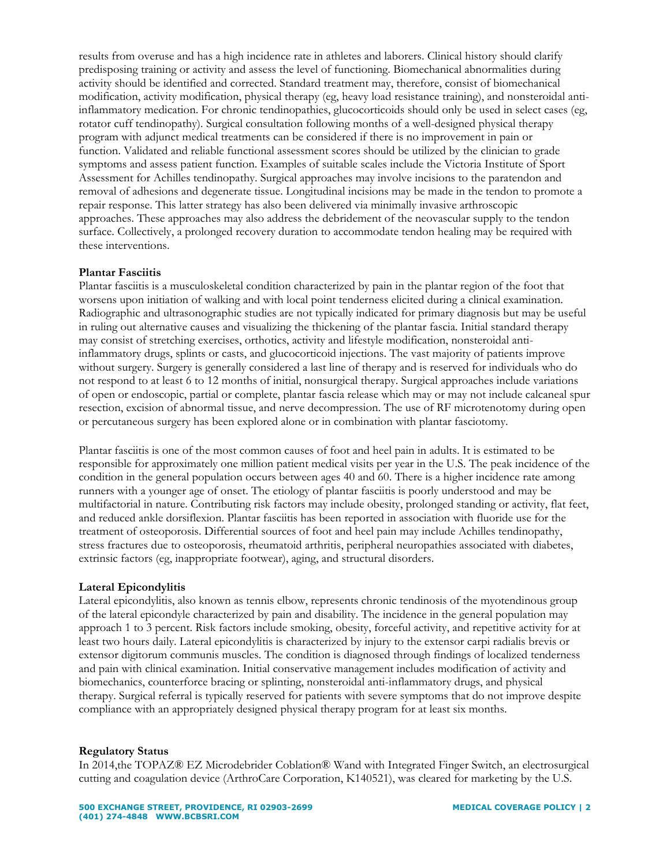results from overuse and has a high incidence rate in athletes and laborers. Clinical history should clarify predisposing training or activity and assess the level of functioning. Biomechanical abnormalities during activity should be identified and corrected. Standard treatment may, therefore, consist of biomechanical modification, activity modification, physical therapy (eg, heavy load resistance training), and nonsteroidal antiinflammatory medication. For chronic tendinopathies, glucocorticoids should only be used in select cases (eg, rotator cuff tendinopathy). Surgical consultation following months of a well-designed physical therapy program with adjunct medical treatments can be considered if there is no improvement in pain or function. Validated and reliable functional assessment scores should be utilized by the clinician to grade symptoms and assess patient function. Examples of suitable scales include the Victoria Institute of Sport Assessment for Achilles tendinopathy. Surgical approaches may involve incisions to the paratendon and removal of adhesions and degenerate tissue. Longitudinal incisions may be made in the tendon to promote a repair response. This latter strategy has also been delivered via minimally invasive arthroscopic approaches. These approaches may also address the debridement of the neovascular supply to the tendon surface. Collectively, a prolonged recovery duration to accommodate tendon healing may be required with these interventions.

# **Plantar Fasciitis**

Plantar fasciitis is a musculoskeletal condition characterized by pain in the plantar region of the foot that worsens upon initiation of walking and with local point tenderness elicited during a clinical examination. Radiographic and ultrasonographic studies are not typically indicated for primary diagnosis but may be useful in ruling out alternative causes and visualizing the thickening of the plantar fascia. Initial standard therapy may consist of stretching exercises, orthotics, activity and lifestyle modification, nonsteroidal antiinflammatory drugs, splints or casts, and glucocorticoid injections. The vast majority of patients improve without surgery. Surgery is generally considered a last line of therapy and is reserved for individuals who do not respond to at least 6 to 12 months of initial, nonsurgical therapy. Surgical approaches include variations of open or endoscopic, partial or complete, plantar fascia release which may or may not include calcaneal spur resection, excision of abnormal tissue, and nerve decompression. The use of RF microtenotomy during open or percutaneous surgery has been explored alone or in combination with plantar fasciotomy.

Plantar fasciitis is one of the most common causes of foot and heel pain in adults. It is estimated to be responsible for approximately one million patient medical visits per year in the U.S. The peak incidence of the condition in the general population occurs between ages 40 and 60. There is a higher incidence rate among runners with a younger age of onset. The etiology of plantar fasciitis is poorly understood and may be multifactorial in nature. Contributing risk factors may include obesity, prolonged standing or activity, flat feet, and reduced ankle dorsiflexion. Plantar fasciitis has been reported in association with fluoride use for the treatment of osteoporosis. Differential sources of foot and heel pain may include Achilles tendinopathy, stress fractures due to osteoporosis, rheumatoid arthritis, peripheral neuropathies associated with diabetes, extrinsic factors (eg, inappropriate footwear), aging, and structural disorders.

### **Lateral Epicondylitis**

Lateral epicondylitis, also known as tennis elbow, represents chronic tendinosis of the myotendinous group of the lateral epicondyle characterized by pain and disability. The incidence in the general population may approach 1 to 3 percent. Risk factors include smoking, obesity, forceful activity, and repetitive activity for at least two hours daily. Lateral epicondylitis is characterized by injury to the extensor carpi radialis brevis or extensor digitorum communis muscles. The condition is diagnosed through findings of localized tenderness and pain with clinical examination. Initial conservative management includes modification of activity and biomechanics, counterforce bracing or splinting, nonsteroidal anti-inflammatory drugs, and physical therapy. Surgical referral is typically reserved for patients with severe symptoms that do not improve despite compliance with an appropriately designed physical therapy program for at least six months.

# **Regulatory Status**

In 2014,the TOPAZ® EZ Microdebrider Coblation® Wand with Integrated Finger Switch, an electrosurgical cutting and coagulation device (ArthroCare Corporation, K140521), was cleared for marketing by the U.S.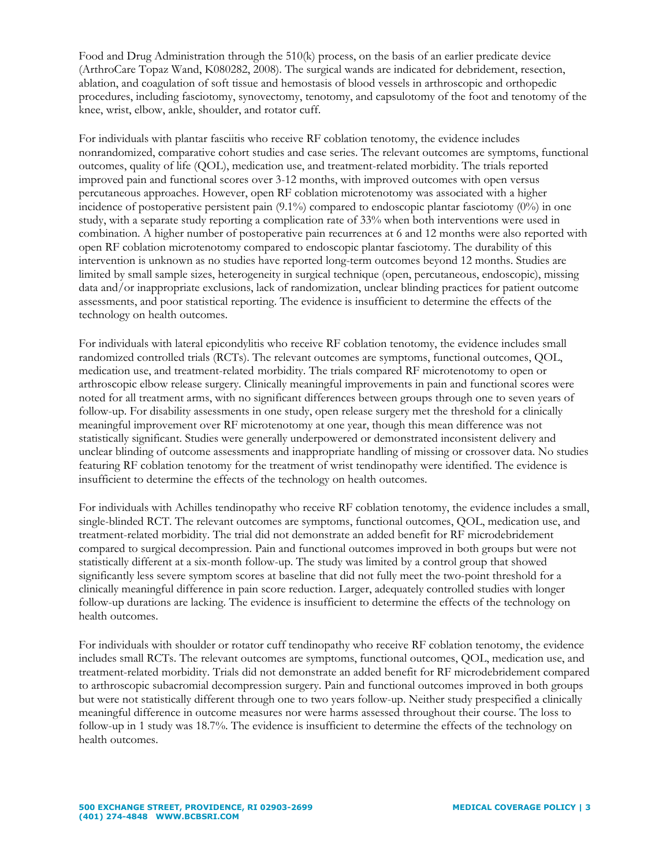Food and Drug Administration through the 510(k) process, on the basis of an earlier predicate device (ArthroCare Topaz Wand, K080282, 2008). The surgical wands are indicated for debridement, resection, ablation, and coagulation of soft tissue and hemostasis of blood vessels in arthroscopic and orthopedic procedures, including fasciotomy, synovectomy, tenotomy, and capsulotomy of the foot and tenotomy of the knee, wrist, elbow, ankle, shoulder, and rotator cuff.

For individuals with plantar fasciitis who receive RF coblation tenotomy, the evidence includes nonrandomized, comparative cohort studies and case series. The relevant outcomes are symptoms, functional outcomes, quality of life (QOL), medication use, and treatment-related morbidity. The trials reported improved pain and functional scores over 3-12 months, with improved outcomes with open versus percutaneous approaches. However, open RF coblation microtenotomy was associated with a higher incidence of postoperative persistent pain  $(9.1\%)$  compared to endoscopic plantar fasciotomy  $(0\%)$  in one study, with a separate study reporting a complication rate of 33% when both interventions were used in combination. A higher number of postoperative pain recurrences at 6 and 12 months were also reported with open RF coblation microtenotomy compared to endoscopic plantar fasciotomy. The durability of this intervention is unknown as no studies have reported long-term outcomes beyond 12 months. Studies are limited by small sample sizes, heterogeneity in surgical technique (open, percutaneous, endoscopic), missing data and/or inappropriate exclusions, lack of randomization, unclear blinding practices for patient outcome assessments, and poor statistical reporting. The evidence is insufficient to determine the effects of the technology on health outcomes.

For individuals with lateral epicondylitis who receive RF coblation tenotomy, the evidence includes small randomized controlled trials (RCTs). The relevant outcomes are symptoms, functional outcomes, QOL, medication use, and treatment-related morbidity. The trials compared RF microtenotomy to open or arthroscopic elbow release surgery. Clinically meaningful improvements in pain and functional scores were noted for all treatment arms, with no significant differences between groups through one to seven years of follow-up. For disability assessments in one study, open release surgery met the threshold for a clinically meaningful improvement over RF microtenotomy at one year, though this mean difference was not statistically significant. Studies were generally underpowered or demonstrated inconsistent delivery and unclear blinding of outcome assessments and inappropriate handling of missing or crossover data. No studies featuring RF coblation tenotomy for the treatment of wrist tendinopathy were identified. The evidence is insufficient to determine the effects of the technology on health outcomes.

For individuals with Achilles tendinopathy who receive RF coblation tenotomy, the evidence includes a small, single-blinded RCT. The relevant outcomes are symptoms, functional outcomes, QOL, medication use, and treatment-related morbidity. The trial did not demonstrate an added benefit for RF microdebridement compared to surgical decompression. Pain and functional outcomes improved in both groups but were not statistically different at a six-month follow-up. The study was limited by a control group that showed significantly less severe symptom scores at baseline that did not fully meet the two-point threshold for a clinically meaningful difference in pain score reduction. Larger, adequately controlled studies with longer follow-up durations are lacking. The evidence is insufficient to determine the effects of the technology on health outcomes.

For individuals with shoulder or rotator cuff tendinopathy who receive RF coblation tenotomy, the evidence includes small RCTs. The relevant outcomes are symptoms, functional outcomes, QOL, medication use, and treatment-related morbidity. Trials did not demonstrate an added benefit for RF microdebridement compared to arthroscopic subacromial decompression surgery. Pain and functional outcomes improved in both groups but were not statistically different through one to two years follow-up. Neither study prespecified a clinically meaningful difference in outcome measures nor were harms assessed throughout their course. The loss to follow-up in 1 study was 18.7%. The evidence is insufficient to determine the effects of the technology on health outcomes.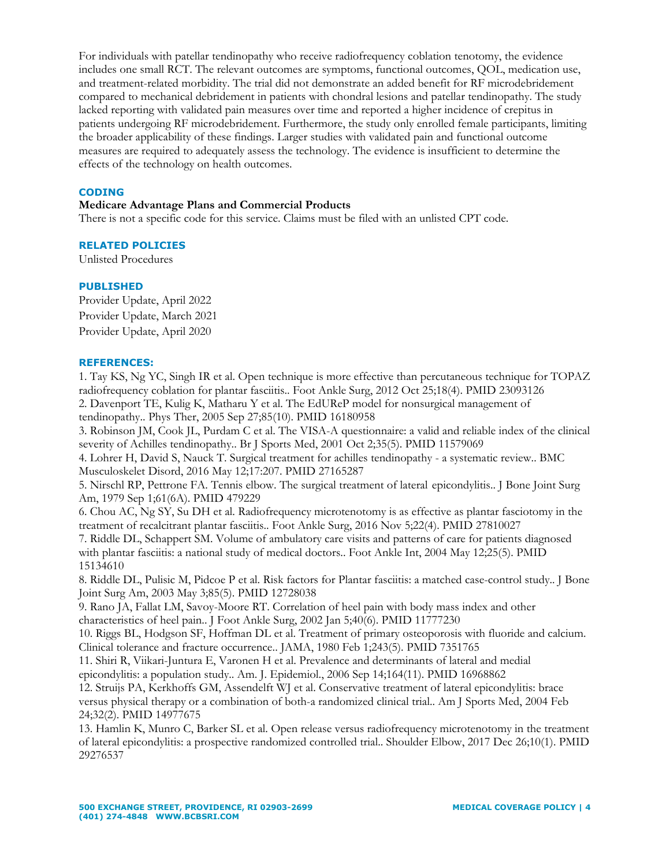For individuals with patellar tendinopathy who receive radiofrequency coblation tenotomy, the evidence includes one small RCT. The relevant outcomes are symptoms, functional outcomes, QOL, medication use, and treatment-related morbidity. The trial did not demonstrate an added benefit for RF microdebridement compared to mechanical debridement in patients with chondral lesions and patellar tendinopathy. The study lacked reporting with validated pain measures over time and reported a higher incidence of crepitus in patients undergoing RF microdebridement. Furthermore, the study only enrolled female participants, limiting the broader applicability of these findings. Larger studies with validated pain and functional outcome measures are required to adequately assess the technology. The evidence is insufficient to determine the effects of the technology on health outcomes.

# **CODING**

# **Medicare Advantage Plans and Commercial Products**

There is not a specific code for this service. Claims must be filed with an unlisted CPT code.

# **RELATED POLICIES**

Unlisted Procedures

### **PUBLISHED**

Provider Update, April 2022 Provider Update, March 2021 Provider Update, April 2020

### **REFERENCES:**

1. Tay KS, Ng YC, Singh IR et al. Open technique is more effective than percutaneous technique for TOPAZ radiofrequency coblation for plantar fasciitis.. Foot Ankle Surg, 2012 Oct 25;18(4). PMID 23093126

2. Davenport TE, Kulig K, Matharu Y et al. The EdUReP model for nonsurgical management of tendinopathy.. Phys Ther, 2005 Sep 27;85(10). PMID 16180958

3. Robinson JM, Cook JL, Purdam C et al. The VISA-A questionnaire: a valid and reliable index of the clinical severity of Achilles tendinopathy.. Br J Sports Med, 2001 Oct 2;35(5). PMID 11579069

4. Lohrer H, David S, Nauck T. Surgical treatment for achilles tendinopathy - a systematic review.. BMC Musculoskelet Disord, 2016 May 12;17:207. PMID 27165287

5. Nirschl RP, Pettrone FA. Tennis elbow. The surgical treatment of lateral epicondylitis.. J Bone Joint Surg Am, 1979 Sep 1;61(6A). PMID 479229

6. Chou AC, Ng SY, Su DH et al. Radiofrequency microtenotomy is as effective as plantar fasciotomy in the treatment of recalcitrant plantar fasciitis.. Foot Ankle Surg, 2016 Nov 5;22(4). PMID 27810027

7. Riddle DL, Schappert SM. Volume of ambulatory care visits and patterns of care for patients diagnosed with plantar fasciitis: a national study of medical doctors.. Foot Ankle Int, 2004 May 12;25(5). PMID 15134610

8. Riddle DL, Pulisic M, Pidcoe P et al. Risk factors for Plantar fasciitis: a matched case-control study.. J Bone Joint Surg Am, 2003 May 3;85(5). PMID 12728038

9. Rano JA, Fallat LM, Savoy-Moore RT. Correlation of heel pain with body mass index and other characteristics of heel pain.. J Foot Ankle Surg, 2002 Jan 5;40(6). PMID 11777230

10. Riggs BL, Hodgson SF, Hoffman DL et al. Treatment of primary osteoporosis with fluoride and calcium. Clinical tolerance and fracture occurrence.. JAMA, 1980 Feb 1;243(5). PMID 7351765

11. Shiri R, Viikari-Juntura E, Varonen H et al. Prevalence and determinants of lateral and medial epicondylitis: a population study.. Am. J. Epidemiol., 2006 Sep 14;164(11). PMID 16968862

12. Struijs PA, Kerkhoffs GM, Assendelft WJ et al. Conservative treatment of lateral epicondylitis: brace versus physical therapy or a combination of both-a randomized clinical trial.. Am J Sports Med, 2004 Feb 24;32(2). PMID 14977675

13. Hamlin K, Munro C, Barker SL et al. Open release versus radiofrequency microtenotomy in the treatment of lateral epicondylitis: a prospective randomized controlled trial.. Shoulder Elbow, 2017 Dec 26;10(1). PMID 29276537